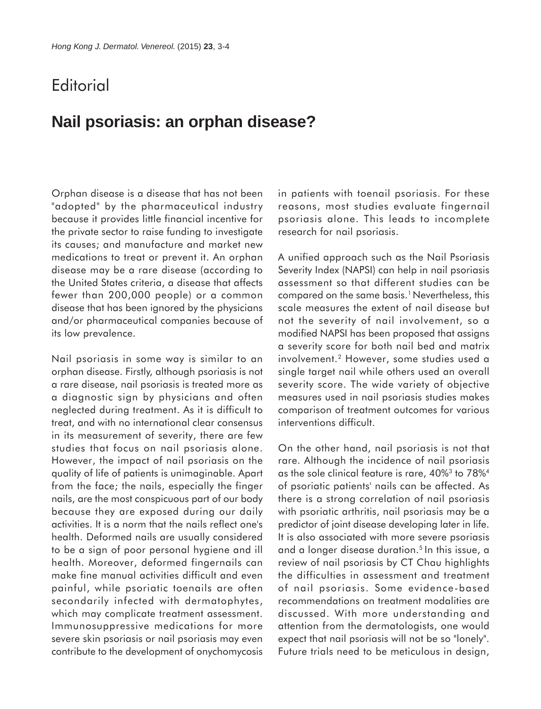## **Editorial**

## **Nail psoriasis: an orphan disease?**

Orphan disease is a disease that has not been "adopted" by the pharmaceutical industry because it provides little financial incentive for the private sector to raise funding to investigate its causes; and manufacture and market new medications to treat or prevent it. An orphan disease may be a rare disease (according to the United States criteria, a disease that affects fewer than 200,000 people) or a common disease that has been ignored by the physicians and/or pharmaceutical companies because of its low prevalence.

Nail psoriasis in some way is similar to an orphan disease. Firstly, although psoriasis is not a rare disease, nail psoriasis is treated more as a diagnostic sign by physicians and often neglected during treatment. As it is difficult to treat, and with no international clear consensus in its measurement of severity, there are few studies that focus on nail psoriasis alone. However, the impact of nail psoriasis on the quality of life of patients is unimaginable. Apart from the face; the nails, especially the finger nails, are the most conspicuous part of our body because they are exposed during our daily activities. It is a norm that the nails reflect one's health. Deformed nails are usually considered to be a sign of poor personal hygiene and ill health. Moreover, deformed fingernails can make fine manual activities difficult and even painful, while psoriatic toenails are often secondarily infected with dermatophytes, which may complicate treatment assessment. Immunosuppressive medications for more severe skin psoriasis or nail psoriasis may even contribute to the development of onychomycosis in patients with toenail psoriasis. For these reasons, most studies evaluate fingernail psoriasis alone. This leads to incomplete research for nail psoriasis.

A unified approach such as the Nail Psoriasis Severity Index (NAPSI) can help in nail psoriasis assessment so that different studies can be compared on the same basis.1 Nevertheless, this scale measures the extent of nail disease but not the severity of nail involvement, so a modified NAPSI has been proposed that assigns a severity score for both nail bed and matrix involvement.2 However, some studies used a single target nail while others used an overall severity score. The wide variety of objective measures used in nail psoriasis studies makes comparison of treatment outcomes for various interventions difficult.

On the other hand, nail psoriasis is not that rare. Although the incidence of nail psoriasis as the sole clinical feature is rare, 40%3 to 78%4 of psoriatic patients' nails can be affected. As there is a strong correlation of nail psoriasis with psoriatic arthritis, nail psoriasis may be a predictor of joint disease developing later in life. It is also associated with more severe psoriasis and a longer disease duration.<sup>5</sup> In this issue, a review of nail psoriasis by CT Chau highlights the difficulties in assessment and treatment of nail psoriasis. Some evidence-based recommendations on treatment modalities are discussed. With more understanding and attention from the dermatologists, one would expect that nail psoriasis will not be so "lonely". Future trials need to be meticulous in design,